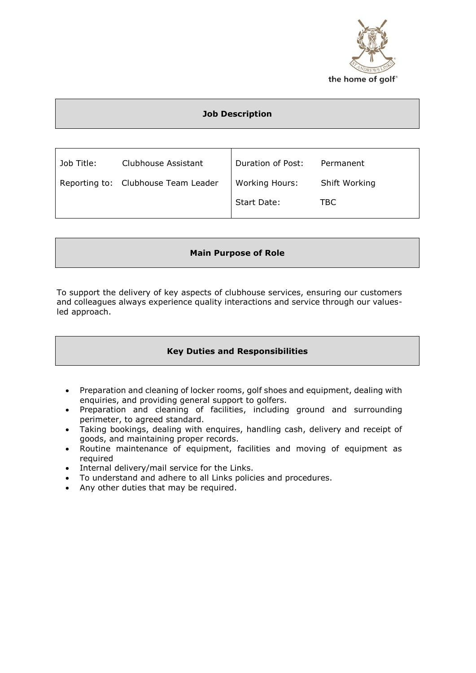

# **Job Description**

| Job Title: | Clubhouse Assistant                 | Duration of Post:     | Permanent     |
|------------|-------------------------------------|-----------------------|---------------|
|            | Reporting to: Clubhouse Team Leader | <b>Working Hours:</b> | Shift Working |
|            |                                     | Start Date:           | TBC.          |

### **Main Purpose of Role**

To support the delivery of key aspects of clubhouse services, ensuring our customers and colleagues always experience quality interactions and service through our valuesled approach.

### **Key Duties and Responsibilities**

- Preparation and cleaning of locker rooms, golf shoes and equipment, dealing with enquiries, and providing general support to golfers.
- Preparation and cleaning of facilities, including ground and surrounding perimeter, to agreed standard.
- Taking bookings, dealing with enquires, handling cash, delivery and receipt of goods, and maintaining proper records.
- Routine maintenance of equipment, facilities and moving of equipment as required
- Internal delivery/mail service for the Links.
- To understand and adhere to all Links policies and procedures.
- Any other duties that may be required.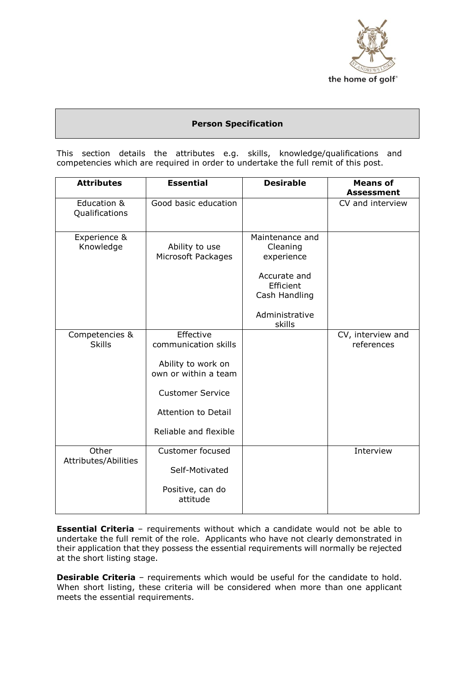

## **Person Specification**

This section details the attributes e.g. skills, knowledge/qualifications and competencies which are required in order to undertake the full remit of this post.

| <b>Attributes</b>               | <b>Essential</b>                                                                                                                                                  | <b>Desirable</b>                                                                                          | <b>Means of</b><br><b>Assessment</b> |
|---------------------------------|-------------------------------------------------------------------------------------------------------------------------------------------------------------------|-----------------------------------------------------------------------------------------------------------|--------------------------------------|
| Education &<br>Qualifications   | Good basic education                                                                                                                                              |                                                                                                           | CV and interview                     |
| Experience &<br>Knowledge       | Ability to use<br>Microsoft Packages                                                                                                                              | Maintenance and<br>Cleaning<br>experience<br>Accurate and<br>Efficient<br>Cash Handling<br>Administrative |                                      |
|                                 |                                                                                                                                                                   | skills                                                                                                    |                                      |
| Competencies &<br><b>Skills</b> | Effective<br>communication skills<br>Ability to work on<br>own or within a team<br><b>Customer Service</b><br><b>Attention to Detail</b><br>Reliable and flexible |                                                                                                           | CV, interview and<br>references      |
| Other<br>Attributes/Abilities   | Customer focused<br>Self-Motivated<br>Positive, can do<br>attitude                                                                                                |                                                                                                           | Interview                            |

**Essential Criteria** - requirements without which a candidate would not be able to undertake the full remit of the role. Applicants who have not clearly demonstrated in their application that they possess the essential requirements will normally be rejected at the short listing stage.

**Desirable Criteria** - requirements which would be useful for the candidate to hold. When short listing, these criteria will be considered when more than one applicant meets the essential requirements.